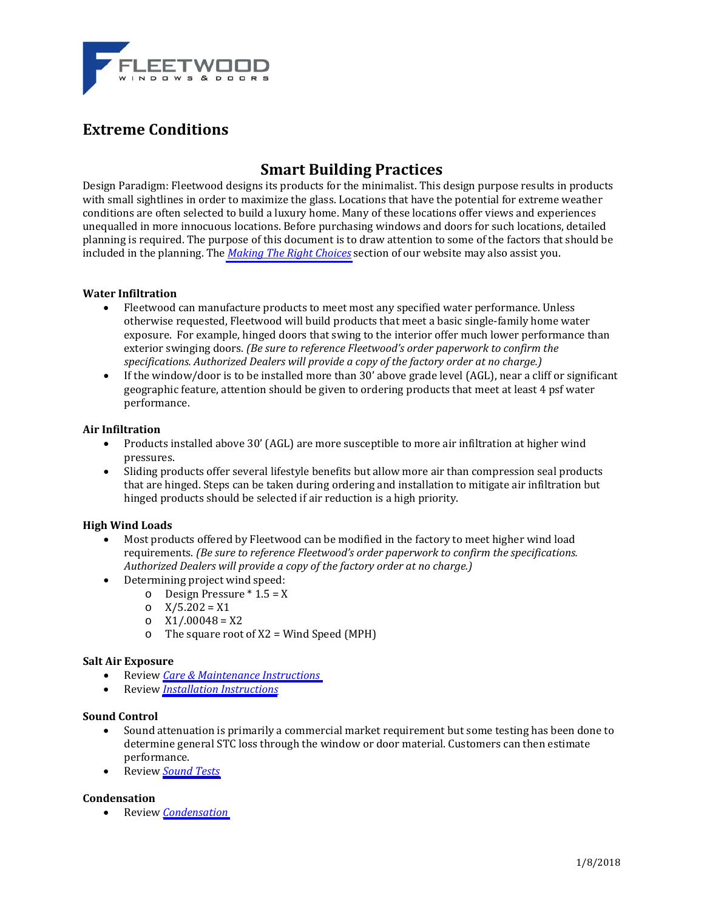

# **Extreme Conditions**

# **Smart Building Practices**

Design Paradigm: Fleetwood designs its products for the minimalist. This design purpose results in products with small sightlines in order to maximize the glass. Locations that have the potential for extreme weather conditions are often selected to build a luxury home. Many of these locations offer views and experiences unequalled in more innocuous locations. Before purchasing windows and doors for such locations, detailed planning is required. The purpose of this document is to draw attention to some of the factors that should be included in the planning. The *[Making](http://www.fleetwoodusa.com/menu_bar/Designers/making-the-right-choices.php) The Right Choices* section of our website may also assist you.

## **Water Infiltration**

- Fleetwood can manufacture products to meet most any specified water performance. Unless otherwise requested, Fleetwood will build products that meet a basic single-family home water exposure. For example, hinged doors that swing to the interior offer much lower performance than exterior swinging doors. *(Be sure to reference Fleetwood's order paperwork to confirm the specifications. Authorized Dealers will provide a copy of the factory order at no charge.)*
- $\bullet$  If the window/door is to be installed more than 30' above grade level (AGL), near a cliff or significant geographic feature, attention should be given to ordering products that meet at least 4 psf water performance.

#### **Air Infiltration**

- Products installed above 30' (AGL) are more susceptible to more air infiltration at higher wind pressures.
- Sliding products offer several lifestyle benefits but allow more air than compression seal products that are hinged. Steps can be taken during ordering and installation to mitigate air infiltration but hinged products should be selected if air reduction is a high priority.

#### **High Wind Loads**

- Most products offered by Fleetwood can be modified in the factory to meet higher wind load *e Fleetwood's order paperwork to confirm the specifications.* requirements. *(Be sure to referenc opy of the factory order at no charge.) Authoriz ed Dealers will provide a c*
- Determining project wind speed:
	- $\circ$  Design Pressure \* 1.5 = X
	- $\circ$  X/5.202 = X1
	- $O$   $X1/.00048 = X2$
	- $\circ$  The square root of X2 = Wind Speed (MPH)

#### **Salt Air Exposure**

- Review *Care & [Maintenance](http://www.fleetwoodusa.com/menu_bar/Products/info_caremaint.php) Instructions*
- Review *Installation [Instructions](http://www.fleetwoodusa.com/menu_bar/Builder_Installer/builder_installation.php)*

#### **Sound Control**

- Sound attenuation is primarily a commercial market requirement but some testing has been done to determine general STC loss through the window or door material. Customers can then estimate performance.
- Review *[Sound](http://www.fleetwoodusa.com/menu_bar/Products/sound-control-testing.php) Tests*

#### **Condensation**

Review *[Condensation](http://www.fleetwoodusa.net/Documents_Guide/Products/_General/Condensation_Frost.pdf)*